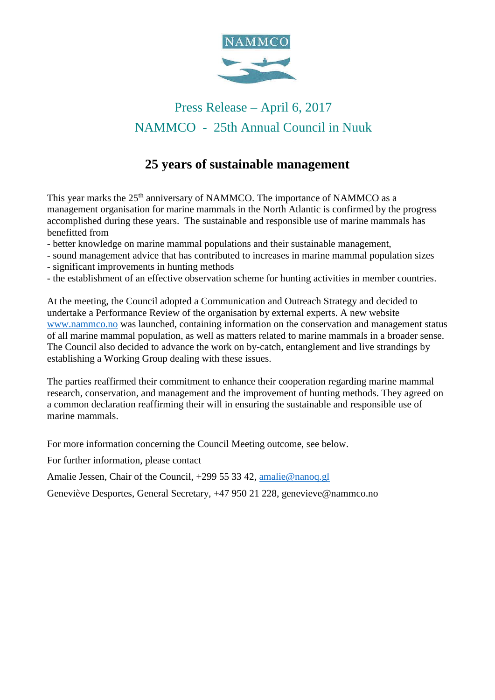

# Press Release – April 6, 2017 NAMMCO - 25th Annual Council in Nuuk

# **25 years of sustainable management**

This year marks the 25<sup>th</sup> anniversary of NAMMCO. The importance of NAMMCO as a management organisation for marine mammals in the North Atlantic is confirmed by the progress accomplished during these years. The sustainable and responsible use of marine mammals has benefitted from

- better knowledge on marine mammal populations and their sustainable management,
- sound management advice that has contributed to increases in marine mammal population sizes
- significant improvements in hunting methods
- the establishment of an effective observation scheme for hunting activities in member countries.

At the meeting, the Council adopted a Communication and Outreach Strategy and decided to undertake a Performance Review of the organisation by external experts. A new website [www.nammco.no](http://www.nammco.no/) was launched, containing information on the conservation and management status of all marine mammal population, as well as matters related to marine mammals in a broader sense. The Council also decided to advance the work on by-catch, entanglement and live strandings by establishing a Working Group dealing with these issues.

The parties reaffirmed their commitment to enhance their cooperation regarding marine mammal research, conservation, and management and the improvement of hunting methods. They agreed on a common declaration reaffirming their will in ensuring the sustainable and responsible use of marine mammals.

For more information concerning the Council Meeting outcome, see below.

For further information, please contact

Amalie Jessen, Chair of the Council, +299 55 33 42, [amalie@nanoq.gl](mailto:amalie@nanoq.gl)

Geneviève Desportes, General Secretary, +47 950 21 228, genevieve@nammco.no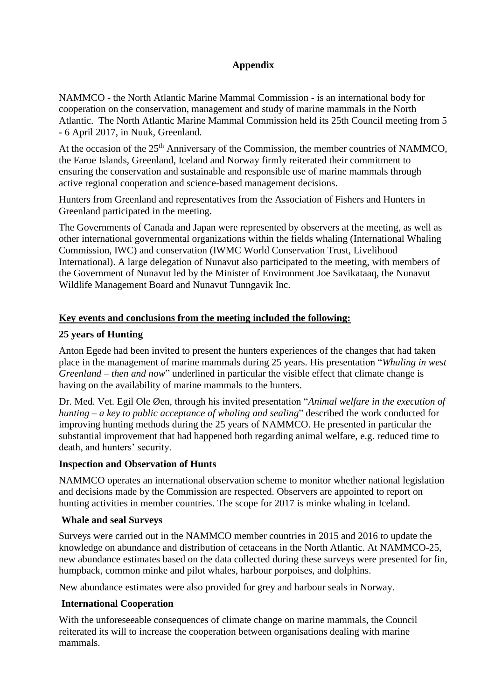## **Appendix**

NAMMCO - the North Atlantic Marine Mammal Commission - is an international body for cooperation on the conservation, management and study of marine mammals in the North Atlantic. The North Atlantic Marine Mammal Commission held its 25th Council meeting from 5 - 6 April 2017, in Nuuk, Greenland.

At the occasion of the 25<sup>th</sup> Anniversary of the Commission, the member countries of NAMMCO, the Faroe Islands, Greenland, Iceland and Norway firmly reiterated their commitment to ensuring the conservation and sustainable and responsible use of marine mammals through active regional cooperation and science-based management decisions.

Hunters from Greenland and representatives from the Association of Fishers and Hunters in Greenland participated in the meeting.

The Governments of Canada and Japan were represented by observers at the meeting, as well as other international governmental organizations within the fields whaling (International Whaling Commission, IWC) and conservation (IWMC World Conservation Trust, Livelihood International). A large delegation of Nunavut also participated to the meeting, with members of the Government of Nunavut led by the Minister of Environment Joe Savikataaq, the Nunavut Wildlife Management Board and Nunavut Tunngavik Inc.

#### **Key events and conclusions from the meeting included the following:**

#### **25 years of Hunting**

Anton Egede had been invited to present the hunters experiences of the changes that had taken place in the management of marine mammals during 25 years. His presentation "*Whaling in west Greenland – then and now*" underlined in particular the visible effect that climate change is having on the availability of marine mammals to the hunters.

Dr. Med. Vet. Egil Ole Øen, through his invited presentation "*Animal welfare in the execution of hunting – a key to public acceptance of whaling and sealing*" described the work conducted for improving hunting methods during the 25 years of NAMMCO. He presented in particular the substantial improvement that had happened both regarding animal welfare, e.g. reduced time to death, and hunters' security.

#### **Inspection and Observation of Hunts**

NAMMCO operates an international observation scheme to monitor whether national legislation and decisions made by the Commission are respected. Observers are appointed to report on hunting activities in member countries. The scope for 2017 is minke whaling in Iceland.

#### **Whale and seal Surveys**

Surveys were carried out in the NAMMCO member countries in 2015 and 2016 to update the knowledge on abundance and distribution of cetaceans in the North Atlantic. At NAMMCO-25, new abundance estimates based on the data collected during these surveys were presented for fin, humpback, common minke and pilot whales, harbour porpoises, and dolphins.

New abundance estimates were also provided for grey and harbour seals in Norway.

## **International Cooperation**

With the unforeseeable consequences of climate change on marine mammals, the Council reiterated its will to increase the cooperation between organisations dealing with marine mammals.